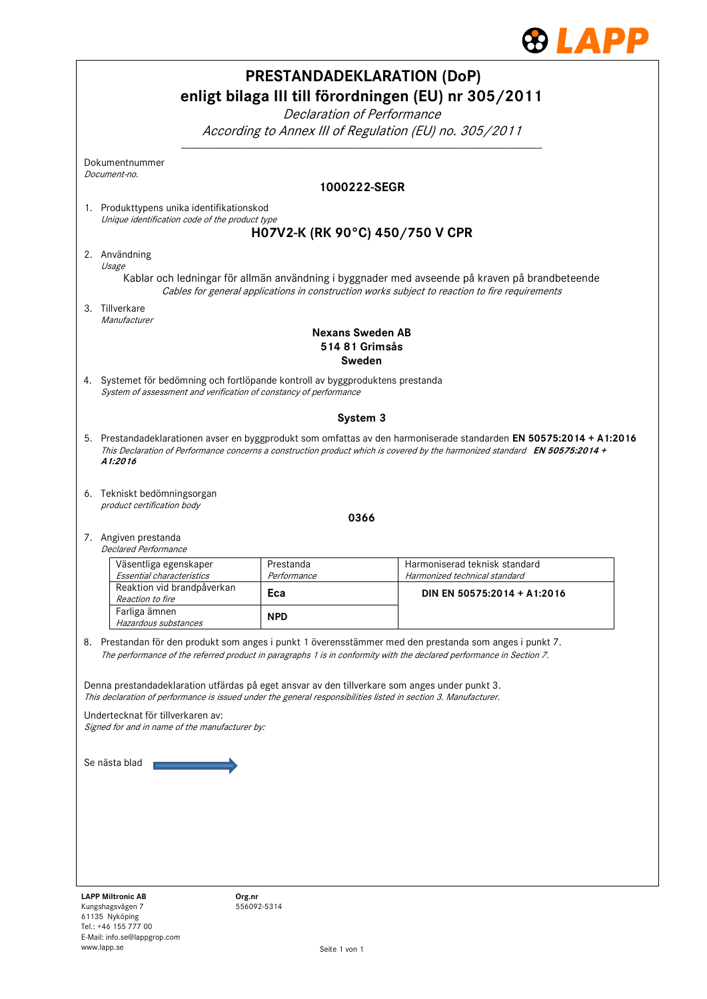

|                                                                                                                                                                                                                                                                           |                                                                                                                                                                                                                                 | <b>PRESTANDADEKLARATION (DoP)</b> | enligt bilaga III till förordningen (EU) nr 305/2011                                                                                                                                             |  |
|---------------------------------------------------------------------------------------------------------------------------------------------------------------------------------------------------------------------------------------------------------------------------|---------------------------------------------------------------------------------------------------------------------------------------------------------------------------------------------------------------------------------|-----------------------------------|--------------------------------------------------------------------------------------------------------------------------------------------------------------------------------------------------|--|
|                                                                                                                                                                                                                                                                           | Declaration of Performance<br>According to Annex III of Regulation (EU) no. 305/2011                                                                                                                                            |                                   |                                                                                                                                                                                                  |  |
|                                                                                                                                                                                                                                                                           | Dokumentnummer<br>Document-no.                                                                                                                                                                                                  |                                   |                                                                                                                                                                                                  |  |
|                                                                                                                                                                                                                                                                           |                                                                                                                                                                                                                                 | 1000222-SEGR                      |                                                                                                                                                                                                  |  |
|                                                                                                                                                                                                                                                                           | 1. Produkttypens unika identifikationskod<br>Unique identification code of the product type                                                                                                                                     |                                   |                                                                                                                                                                                                  |  |
|                                                                                                                                                                                                                                                                           |                                                                                                                                                                                                                                 | H07V2-K (RK 90°C) 450/750 V CPR   |                                                                                                                                                                                                  |  |
|                                                                                                                                                                                                                                                                           | 2. Användning<br>Usage                                                                                                                                                                                                          |                                   |                                                                                                                                                                                                  |  |
|                                                                                                                                                                                                                                                                           |                                                                                                                                                                                                                                 |                                   | Kablar och ledningar för allmän användning i byggnader med avseende på kraven på brandbeteende<br>Cables for general applications in construction works subject to reaction to fire requirements |  |
|                                                                                                                                                                                                                                                                           | 3. Tillverkare<br>Manufacturer                                                                                                                                                                                                  |                                   |                                                                                                                                                                                                  |  |
|                                                                                                                                                                                                                                                                           |                                                                                                                                                                                                                                 | <b>Nexans Sweden AB</b>           |                                                                                                                                                                                                  |  |
|                                                                                                                                                                                                                                                                           |                                                                                                                                                                                                                                 | 514 81 Grimsås                    |                                                                                                                                                                                                  |  |
|                                                                                                                                                                                                                                                                           | 4. Systemet för bedömning och fortlöpande kontroll av byggproduktens prestanda<br>System of assessment and verification of constancy of performance                                                                             | Sweden                            |                                                                                                                                                                                                  |  |
|                                                                                                                                                                                                                                                                           |                                                                                                                                                                                                                                 |                                   |                                                                                                                                                                                                  |  |
| System 3<br>5. Prestandadeklarationen avser en byggprodukt som omfattas av den harmoniserade standarden EN 50575:2014 + A1:2016<br>This Declaration of Performance concerns a construction product which is covered by the harmonized standard EN 50575:2014 +<br>A1:2016 |                                                                                                                                                                                                                                 |                                   |                                                                                                                                                                                                  |  |
|                                                                                                                                                                                                                                                                           | 6. Tekniskt bedömningsorgan<br>product certification body                                                                                                                                                                       |                                   |                                                                                                                                                                                                  |  |
|                                                                                                                                                                                                                                                                           |                                                                                                                                                                                                                                 | 0366                              |                                                                                                                                                                                                  |  |
|                                                                                                                                                                                                                                                                           | 7. Angiven prestanda<br><b>Declared Performance</b>                                                                                                                                                                             |                                   |                                                                                                                                                                                                  |  |
|                                                                                                                                                                                                                                                                           | Väsentliga egenskaper<br>Essential characteristics                                                                                                                                                                              | Prestanda<br>Performance          | Harmoniserad teknisk standard<br>Harmonized technical standard                                                                                                                                   |  |
|                                                                                                                                                                                                                                                                           | Reaktion vid brandpåverkan<br><i>Reaction to fire</i>                                                                                                                                                                           | Eca                               | DIN EN 50575:2014 + A1:2016                                                                                                                                                                      |  |
|                                                                                                                                                                                                                                                                           | Farliga ämnen<br>Hazardous substances                                                                                                                                                                                           | <b>NPD</b>                        |                                                                                                                                                                                                  |  |
|                                                                                                                                                                                                                                                                           | 8. Prestandan för den produkt som anges i punkt 1 överensstämmer med den prestanda som anges i punkt 7.<br>The performance of the referred product in paragraphs 1 is in conformity with the declared performance in Section 7. |                                   |                                                                                                                                                                                                  |  |
|                                                                                                                                                                                                                                                                           | Denna prestandadeklaration utfärdas på eget ansvar av den tillverkare som anges under punkt 3.<br>This declaration of performance is issued under the general responsibilities listed in section 3. Manufacturer.               |                                   |                                                                                                                                                                                                  |  |
|                                                                                                                                                                                                                                                                           | Undertecknat för tillverkaren av:<br>Signed for and in name of the manufacturer by:                                                                                                                                             |                                   |                                                                                                                                                                                                  |  |
| Se nästa blad                                                                                                                                                                                                                                                             |                                                                                                                                                                                                                                 |                                   |                                                                                                                                                                                                  |  |
|                                                                                                                                                                                                                                                                           |                                                                                                                                                                                                                                 |                                   |                                                                                                                                                                                                  |  |
|                                                                                                                                                                                                                                                                           |                                                                                                                                                                                                                                 |                                   |                                                                                                                                                                                                  |  |
|                                                                                                                                                                                                                                                                           |                                                                                                                                                                                                                                 |                                   |                                                                                                                                                                                                  |  |
|                                                                                                                                                                                                                                                                           |                                                                                                                                                                                                                                 |                                   |                                                                                                                                                                                                  |  |
|                                                                                                                                                                                                                                                                           |                                                                                                                                                                                                                                 |                                   |                                                                                                                                                                                                  |  |
|                                                                                                                                                                                                                                                                           | <b>LAPP Miltronic AB</b><br>Org.nr<br>Kungshagsvägen 7<br>61135 Nyköping                                                                                                                                                        | 556092-5314                       |                                                                                                                                                                                                  |  |

Tel.: +46 155 777 00 E-Mail: info.se@lappgrop.com

www.lapp.se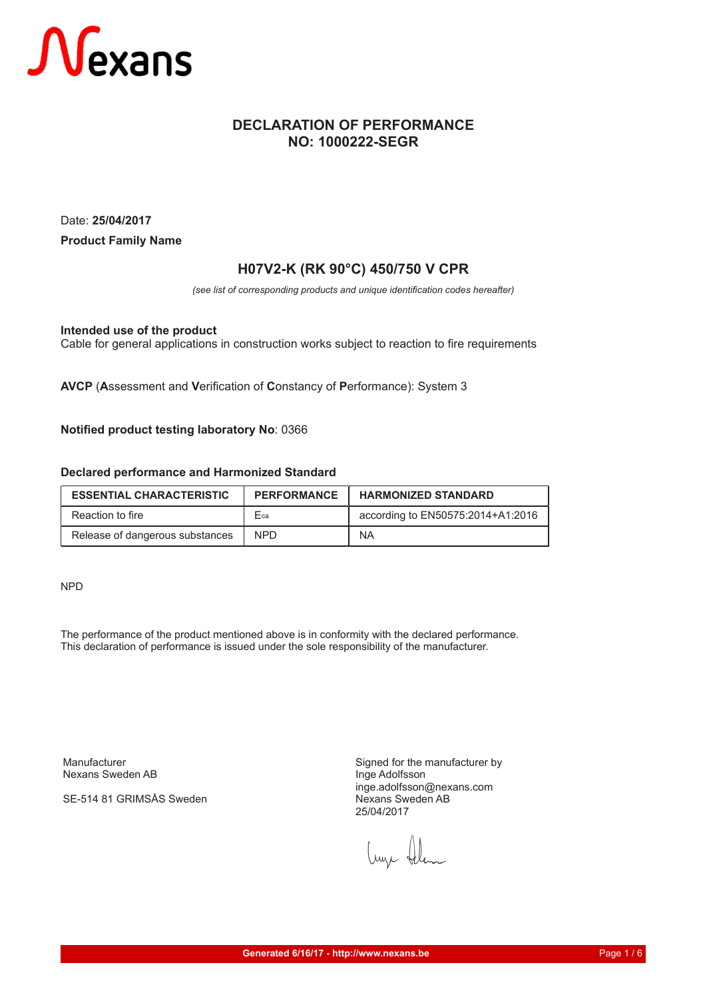

#### **DECLARATION OF PERFORMANCE NO: 1000222-SEGR**

Date: **25/04/2017 Product Family Name**

#### **H07V2-K (RK 90°C) 450/750 V CPR**

*(see list of corresponding products and unique identification codes hereafter)*

**Intended use of the product**

Cable for general applications in construction works subject to reaction to fire requirements

**AVCP** (**A**ssessment and **V**erification of **C**onstancy of **P**erformance): System 3

**Notified product testing laboratory No**: 0366

#### **Declared performance and Harmonized Standard**

| <b>ESSENTIAL CHARACTERISTIC</b> | <b>PERFORMANCE</b> | <b>HARMONIZED STANDARD</b>        |
|---------------------------------|--------------------|-----------------------------------|
| Reaction to fire                | Fca                | according to EN50575:2014+A1:2016 |
| Release of dangerous substances | NPD.               | <b>NA</b>                         |

NPD

The performance of the product mentioned above is in conformity with the declared performance. This declaration of performance is issued under the sole responsibility of the manufacturer.

Manufacturer Nexans Sweden AB

SE-514 81 GRIMSÅS Sweden

Signed for the manufacturer by Inge Adolfsson inge.adolfsson@nexans.com Nexans Sweden AB 25/04/2017

Lune Alem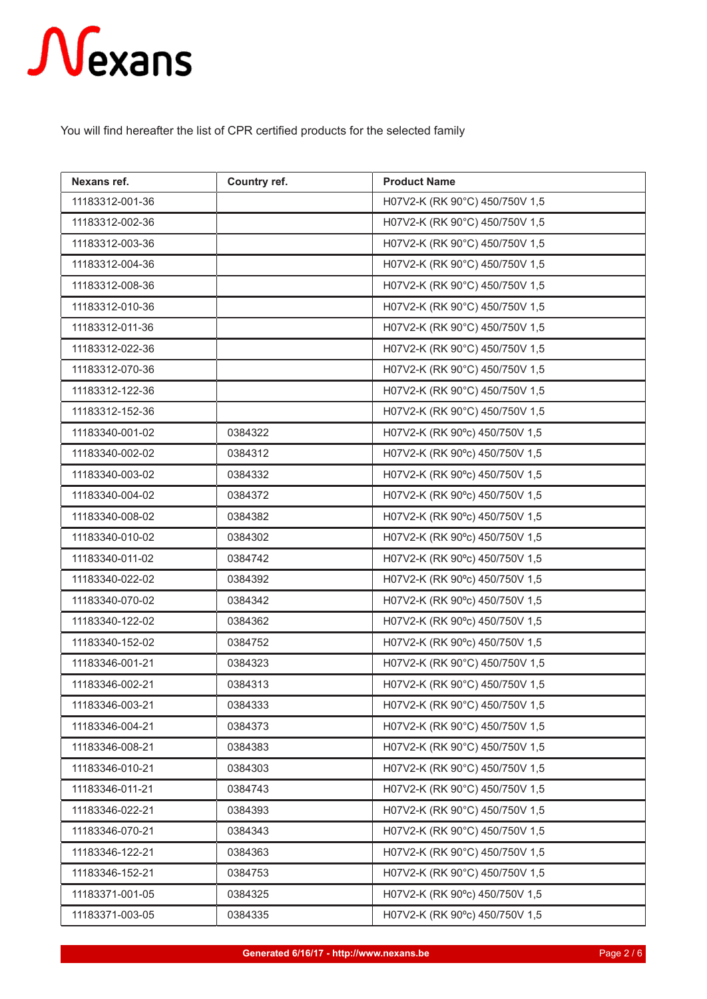You will find hereafter the list of CPR certified products for the selected family

| Nexans ref.     | Country ref. | <b>Product Name</b>            |
|-----------------|--------------|--------------------------------|
| 11183312-001-36 |              | H07V2-K (RK 90°C) 450/750V 1,5 |
| 11183312-002-36 |              | H07V2-K (RK 90°C) 450/750V 1,5 |
| 11183312-003-36 |              | H07V2-K (RK 90°C) 450/750V 1,5 |
| 11183312-004-36 |              | H07V2-K (RK 90°C) 450/750V 1,5 |
| 11183312-008-36 |              | H07V2-K (RK 90°C) 450/750V 1,5 |
| 11183312-010-36 |              | H07V2-K (RK 90°C) 450/750V 1,5 |
| 11183312-011-36 |              | H07V2-K (RK 90°C) 450/750V 1,5 |
| 11183312-022-36 |              | H07V2-K (RK 90°C) 450/750V 1,5 |
| 11183312-070-36 |              | H07V2-K (RK 90°C) 450/750V 1,5 |
| 11183312-122-36 |              | H07V2-K (RK 90°C) 450/750V 1,5 |
| 11183312-152-36 |              | H07V2-K (RK 90°C) 450/750V 1,5 |
| 11183340-001-02 | 0384322      | H07V2-K (RK 90°c) 450/750V 1,5 |
| 11183340-002-02 | 0384312      | H07V2-K (RK 90°c) 450/750V 1,5 |
| 11183340-003-02 | 0384332      | H07V2-K (RK 90°c) 450/750V 1,5 |
| 11183340-004-02 | 0384372      | H07V2-K (RK 90°c) 450/750V 1,5 |
| 11183340-008-02 | 0384382      | H07V2-K (RK 90°c) 450/750V 1,5 |
| 11183340-010-02 | 0384302      | H07V2-K (RK 90°c) 450/750V 1,5 |
| 11183340-011-02 | 0384742      | H07V2-K (RK 90°c) 450/750V 1,5 |
| 11183340-022-02 | 0384392      | H07V2-K (RK 90°c) 450/750V 1,5 |
| 11183340-070-02 | 0384342      | H07V2-K (RK 90°c) 450/750V 1,5 |
| 11183340-122-02 | 0384362      | H07V2-K (RK 90°c) 450/750V 1,5 |
| 11183340-152-02 | 0384752      | H07V2-K (RK 90°c) 450/750V 1,5 |
| 11183346-001-21 | 0384323      | H07V2-K (RK 90°C) 450/750V 1,5 |
| 11183346-002-21 | 0384313      | H07V2-K (RK 90°C) 450/750V 1,5 |
| 11183346-003-21 | 0384333      | H07V2-K (RK 90°C) 450/750V 1,5 |
| 11183346-004-21 | 0384373      | H07V2-K (RK 90°C) 450/750V 1,5 |
| 11183346-008-21 | 0384383      | H07V2-K (RK 90°C) 450/750V 1,5 |
| 11183346-010-21 | 0384303      | H07V2-K (RK 90°C) 450/750V 1,5 |
| 11183346-011-21 | 0384743      | H07V2-K (RK 90°C) 450/750V 1,5 |
| 11183346-022-21 | 0384393      | H07V2-K (RK 90°C) 450/750V 1,5 |
| 11183346-070-21 | 0384343      | H07V2-K (RK 90°C) 450/750V 1,5 |
| 11183346-122-21 | 0384363      | H07V2-K (RK 90°C) 450/750V 1,5 |
| 11183346-152-21 | 0384753      | H07V2-K (RK 90°C) 450/750V 1,5 |
| 11183371-001-05 | 0384325      | H07V2-K (RK 90°c) 450/750V 1,5 |
| 11183371-003-05 | 0384335      | H07V2-K (RK 90°c) 450/750V 1,5 |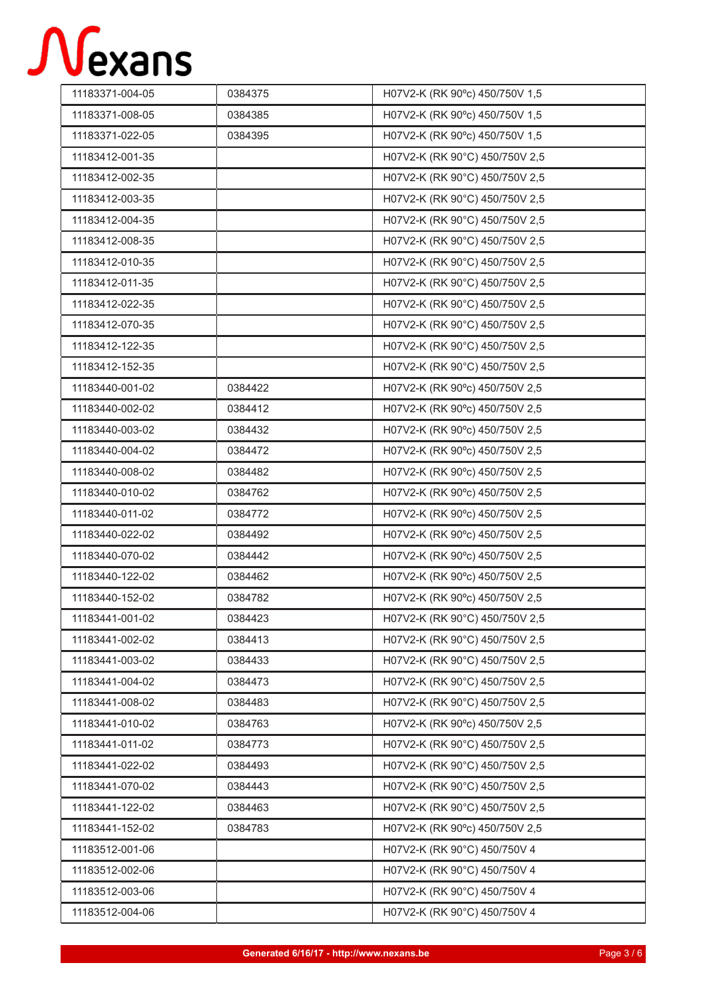| 11183371-004-05 | 0384375 | H07V2-K (RK 90°c) 450/750V 1,5 |
|-----------------|---------|--------------------------------|
| 11183371-008-05 | 0384385 | H07V2-K (RK 90°c) 450/750V 1,5 |
| 11183371-022-05 | 0384395 | H07V2-K (RK 90°c) 450/750V 1,5 |
| 11183412-001-35 |         | H07V2-K (RK 90°C) 450/750V 2,5 |
| 11183412-002-35 |         | H07V2-K (RK 90°C) 450/750V 2,5 |
| 11183412-003-35 |         | H07V2-K (RK 90°C) 450/750V 2,5 |
| 11183412-004-35 |         | H07V2-K (RK 90°C) 450/750V 2,5 |
| 11183412-008-35 |         | H07V2-K (RK 90°C) 450/750V 2,5 |
| 11183412-010-35 |         | H07V2-K (RK 90°C) 450/750V 2,5 |
| 11183412-011-35 |         | H07V2-K (RK 90°C) 450/750V 2,5 |
| 11183412-022-35 |         | H07V2-K (RK 90°C) 450/750V 2,5 |
| 11183412-070-35 |         | H07V2-K (RK 90°C) 450/750V 2,5 |
| 11183412-122-35 |         | H07V2-K (RK 90°C) 450/750V 2,5 |
| 11183412-152-35 |         | H07V2-K (RK 90°C) 450/750V 2,5 |
| 11183440-001-02 | 0384422 | H07V2-K (RK 90°c) 450/750V 2,5 |
| 11183440-002-02 | 0384412 | H07V2-K (RK 90°c) 450/750V 2,5 |
| 11183440-003-02 | 0384432 | H07V2-K (RK 90°c) 450/750V 2,5 |
| 11183440-004-02 | 0384472 | H07V2-K (RK 90°c) 450/750V 2,5 |
| 11183440-008-02 | 0384482 | H07V2-K (RK 90°c) 450/750V 2,5 |
| 11183440-010-02 | 0384762 | H07V2-K (RK 90°c) 450/750V 2,5 |
| 11183440-011-02 | 0384772 | H07V2-K (RK 90°c) 450/750V 2,5 |
| 11183440-022-02 | 0384492 | H07V2-K (RK 90°c) 450/750V 2,5 |
| 11183440-070-02 | 0384442 | H07V2-K (RK 90°c) 450/750V 2,5 |
| 11183440-122-02 | 0384462 | H07V2-K (RK 90°c) 450/750V 2,5 |
| 11183440-152-02 | 0384782 | H07V2-K (RK 90°c) 450/750V 2,5 |
| 11183441-001-02 | 0384423 | H07V2-K (RK 90°C) 450/750V 2,5 |
| 11183441-002-02 | 0384413 | H07V2-K (RK 90°C) 450/750V 2,5 |
| 11183441-003-02 | 0384433 | H07V2-K (RK 90°C) 450/750V 2,5 |
| 11183441-004-02 | 0384473 | H07V2-K (RK 90°C) 450/750V 2,5 |
| 11183441-008-02 | 0384483 | H07V2-K (RK 90°C) 450/750V 2,5 |
| 11183441-010-02 | 0384763 | H07V2-K (RK 90°c) 450/750V 2,5 |
| 11183441-011-02 | 0384773 | H07V2-K (RK 90°C) 450/750V 2,5 |
| 11183441-022-02 | 0384493 | H07V2-K (RK 90°C) 450/750V 2,5 |
| 11183441-070-02 | 0384443 | H07V2-K (RK 90°C) 450/750V 2,5 |
| 11183441-122-02 | 0384463 | H07V2-K (RK 90°C) 450/750V 2,5 |
| 11183441-152-02 | 0384783 | H07V2-K (RK 90°c) 450/750V 2,5 |
| 11183512-001-06 |         | H07V2-K (RK 90°C) 450/750V 4   |
| 11183512-002-06 |         | H07V2-K (RK 90°C) 450/750V 4   |
| 11183512-003-06 |         | H07V2-K (RK 90°C) 450/750V 4   |
| 11183512-004-06 |         | H07V2-K (RK 90°C) 450/750V 4   |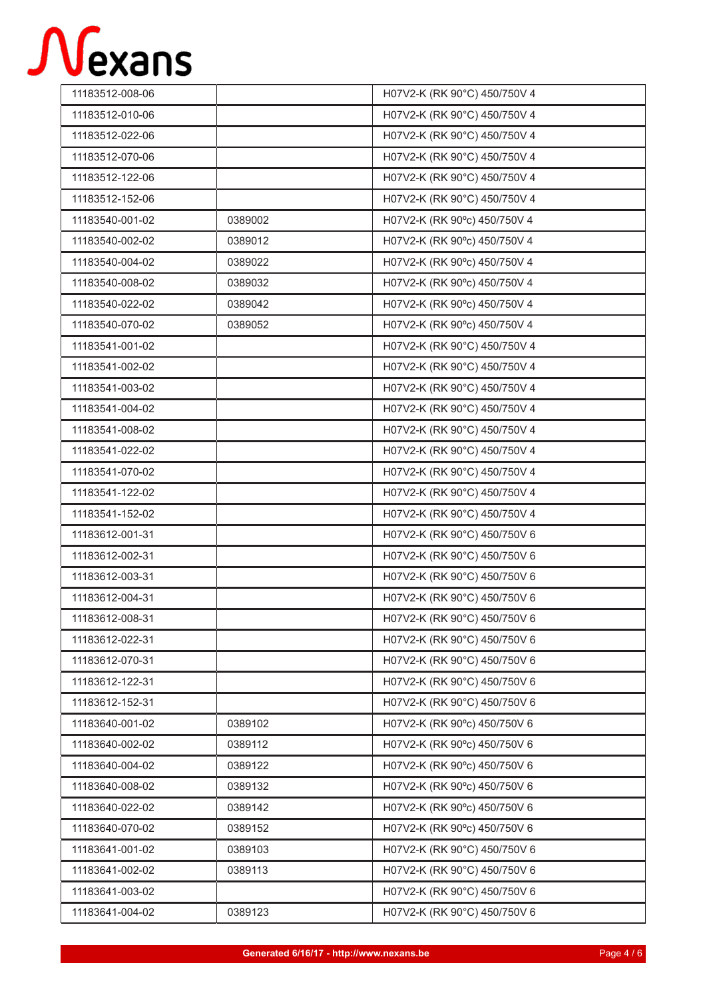| 11183512-008-06 |         | H07V2-K (RK 90°C) 450/750V 4 |
|-----------------|---------|------------------------------|
| 11183512-010-06 |         | H07V2-K (RK 90°C) 450/750V 4 |
| 11183512-022-06 |         | H07V2-K (RK 90°C) 450/750V 4 |
| 11183512-070-06 |         | H07V2-K (RK 90°C) 450/750V 4 |
| 11183512-122-06 |         | H07V2-K (RK 90°C) 450/750V 4 |
| 11183512-152-06 |         | H07V2-K (RK 90°C) 450/750V 4 |
| 11183540-001-02 | 0389002 | H07V2-K (RK 90°c) 450/750V 4 |
| 11183540-002-02 | 0389012 | H07V2-K (RK 90°c) 450/750V 4 |
| 11183540-004-02 | 0389022 | H07V2-K (RK 90°c) 450/750V 4 |
| 11183540-008-02 | 0389032 | H07V2-K (RK 90°c) 450/750V 4 |
| 11183540-022-02 | 0389042 | H07V2-K (RK 90°c) 450/750V 4 |
| 11183540-070-02 | 0389052 | H07V2-K (RK 90°c) 450/750V 4 |
| 11183541-001-02 |         | H07V2-K (RK 90°C) 450/750V 4 |
| 11183541-002-02 |         | H07V2-K (RK 90°C) 450/750V 4 |
| 11183541-003-02 |         | H07V2-K (RK 90°C) 450/750V 4 |
| 11183541-004-02 |         | H07V2-K (RK 90°C) 450/750V 4 |
| 11183541-008-02 |         | H07V2-K (RK 90°C) 450/750V 4 |
| 11183541-022-02 |         | H07V2-K (RK 90°C) 450/750V 4 |
| 11183541-070-02 |         | H07V2-K (RK 90°C) 450/750V 4 |
| 11183541-122-02 |         | H07V2-K (RK 90°C) 450/750V 4 |
| 11183541-152-02 |         | H07V2-K (RK 90°C) 450/750V 4 |
| 11183612-001-31 |         | H07V2-K (RK 90°C) 450/750V 6 |
| 11183612-002-31 |         | H07V2-K (RK 90°C) 450/750V 6 |
| 11183612-003-31 |         | H07V2-K (RK 90°C) 450/750V 6 |
| 11183612-004-31 |         | H07V2-K (RK 90°C) 450/750V 6 |
| 11183612-008-31 |         | H07V2-K (RK 90°C) 450/750V 6 |
| 11183612-022-31 |         | H07V2-K (RK 90°C) 450/750V 6 |
| 11183612-070-31 |         | H07V2-K (RK 90°C) 450/750V 6 |
| 11183612-122-31 |         | H07V2-K (RK 90°C) 450/750V 6 |
| 11183612-152-31 |         | H07V2-K (RK 90°C) 450/750V 6 |
| 11183640-001-02 | 0389102 | H07V2-K (RK 90°c) 450/750V 6 |
| 11183640-002-02 | 0389112 | H07V2-K (RK 90°c) 450/750V 6 |
| 11183640-004-02 | 0389122 | H07V2-K (RK 90°c) 450/750V 6 |
| 11183640-008-02 | 0389132 | H07V2-K (RK 90°c) 450/750V 6 |
| 11183640-022-02 | 0389142 | H07V2-K (RK 90°c) 450/750V 6 |
| 11183640-070-02 | 0389152 | H07V2-K (RK 90°c) 450/750V 6 |
| 11183641-001-02 | 0389103 | H07V2-K (RK 90°C) 450/750V 6 |
| 11183641-002-02 | 0389113 | H07V2-K (RK 90°C) 450/750V 6 |
| 11183641-003-02 |         | H07V2-K (RK 90°C) 450/750V 6 |
| 11183641-004-02 | 0389123 | H07V2-K (RK 90°C) 450/750V 6 |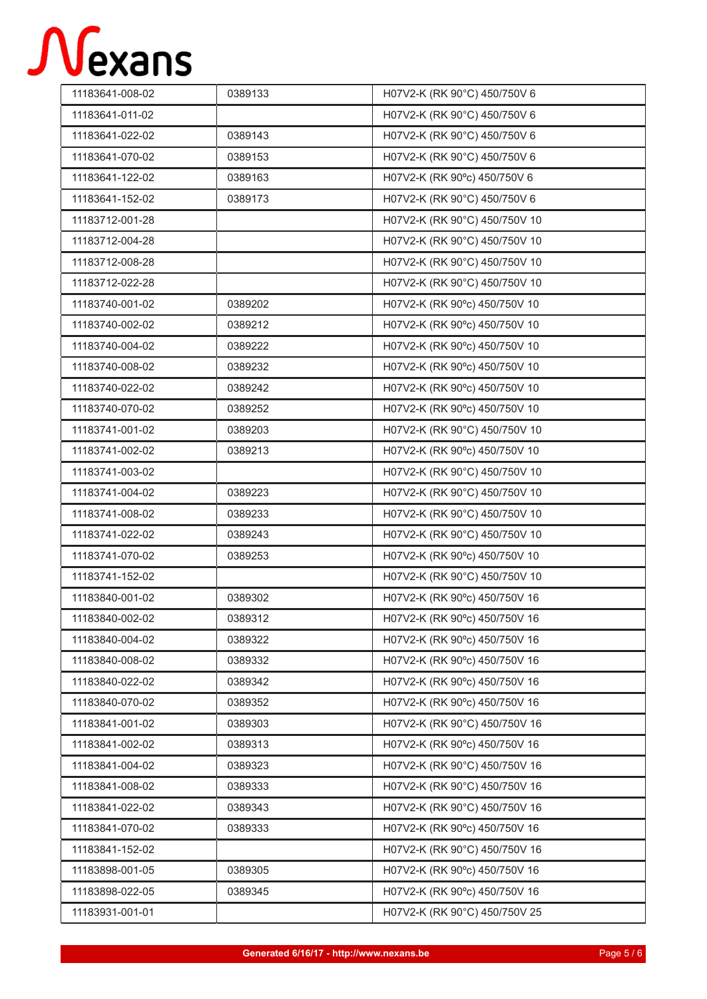| 11183641-008-02 | 0389133 | H07V2-K (RK 90°C) 450/750V 6  |
|-----------------|---------|-------------------------------|
| 11183641-011-02 |         | H07V2-K (RK 90°C) 450/750V 6  |
| 11183641-022-02 | 0389143 | H07V2-K (RK 90°C) 450/750V 6  |
| 11183641-070-02 | 0389153 | H07V2-K (RK 90°C) 450/750V 6  |
| 11183641-122-02 | 0389163 | H07V2-K (RK 90°c) 450/750V 6  |
| 11183641-152-02 | 0389173 | H07V2-K (RK 90°C) 450/750V 6  |
| 11183712-001-28 |         | H07V2-K (RK 90°C) 450/750V 10 |
| 11183712-004-28 |         | H07V2-K (RK 90°C) 450/750V 10 |
| 11183712-008-28 |         | H07V2-K (RK 90°C) 450/750V 10 |
| 11183712-022-28 |         | H07V2-K (RK 90°C) 450/750V 10 |
| 11183740-001-02 | 0389202 | H07V2-K (RK 90°c) 450/750V 10 |
| 11183740-002-02 | 0389212 | H07V2-K (RK 90°c) 450/750V 10 |
| 11183740-004-02 | 0389222 | H07V2-K (RK 90°c) 450/750V 10 |
| 11183740-008-02 | 0389232 | H07V2-K (RK 90°c) 450/750V 10 |
| 11183740-022-02 | 0389242 | H07V2-K (RK 90°c) 450/750V 10 |
| 11183740-070-02 | 0389252 | H07V2-K (RK 90°c) 450/750V 10 |
| 11183741-001-02 | 0389203 | H07V2-K (RK 90°C) 450/750V 10 |
| 11183741-002-02 | 0389213 | H07V2-K (RK 90°c) 450/750V 10 |
| 11183741-003-02 |         | H07V2-K (RK 90°C) 450/750V 10 |
| 11183741-004-02 | 0389223 | H07V2-K (RK 90°C) 450/750V 10 |
| 11183741-008-02 | 0389233 | H07V2-K (RK 90°C) 450/750V 10 |
| 11183741-022-02 | 0389243 | H07V2-K (RK 90°C) 450/750V 10 |
| 11183741-070-02 | 0389253 | H07V2-K (RK 90°c) 450/750V 10 |
| 11183741-152-02 |         | H07V2-K (RK 90°C) 450/750V 10 |
| 11183840-001-02 | 0389302 | H07V2-K (RK 90°c) 450/750V 16 |
| 11183840-002-02 | 0389312 | H07V2-K (RK 90°c) 450/750V 16 |
| 11183840-004-02 | 0389322 | H07V2-K (RK 90°c) 450/750V 16 |
| 11183840-008-02 | 0389332 | H07V2-K (RK 90°c) 450/750V 16 |
| 11183840-022-02 | 0389342 | H07V2-K (RK 90°c) 450/750V 16 |
| 11183840-070-02 | 0389352 | H07V2-K (RK 90°c) 450/750V 16 |
| 11183841-001-02 | 0389303 | H07V2-K (RK 90°C) 450/750V 16 |
| 11183841-002-02 | 0389313 | H07V2-K (RK 90°c) 450/750V 16 |
| 11183841-004-02 | 0389323 | H07V2-K (RK 90°C) 450/750V 16 |
| 11183841-008-02 | 0389333 | H07V2-K (RK 90°C) 450/750V 16 |
| 11183841-022-02 | 0389343 | H07V2-K (RK 90°C) 450/750V 16 |
| 11183841-070-02 | 0389333 | H07V2-K (RK 90°c) 450/750V 16 |
| 11183841-152-02 |         | H07V2-K (RK 90°C) 450/750V 16 |
| 11183898-001-05 | 0389305 | H07V2-K (RK 90°c) 450/750V 16 |
| 11183898-022-05 | 0389345 | H07V2-K (RK 90°c) 450/750V 16 |
| 11183931-001-01 |         | H07V2-K (RK 90°C) 450/750V 25 |